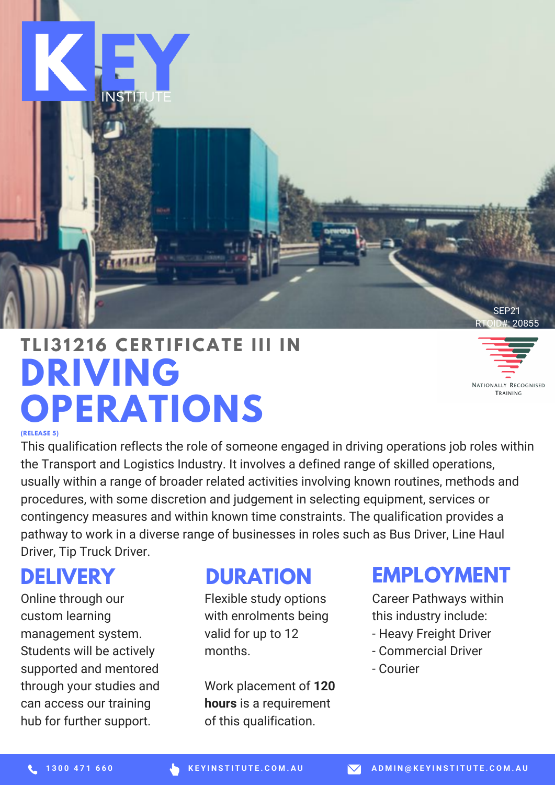

# **DRIVING OPERATIONS T L I31216 CE R T I F ICAT E III I N**

NATIONALLY RECOGNISED TRAINING

#### **(RELEASE 5)**

This qualification reflects the role of someone engaged in driving operations job roles within the Transport and Logistics Industry. It involves a defined range of skilled operations, usually within a range of broader related activities involving known routines, methods and procedures, with some discretion and judgement in selecting equipment, services or contingency measures and within known time constraints. The qualification provides a pathway to work in a diverse range of businesses in roles such as Bus Driver, Line Haul Driver, Tip Truck Driver.

### **DELIVERY**

Online through our custom learning management system. Students will be actively supported and mentored through your studies and can access our training hub for further support.

#### **DURATION**

Flexible study options with enrolments being valid for up to 12 months.

Work placement of **120 hours** is a requirement of this qualification.

## **EMPLOYMENT**

Career Pathways within this industry include:

- Heavy Freight Driver
- Commercial Driver
- Courier